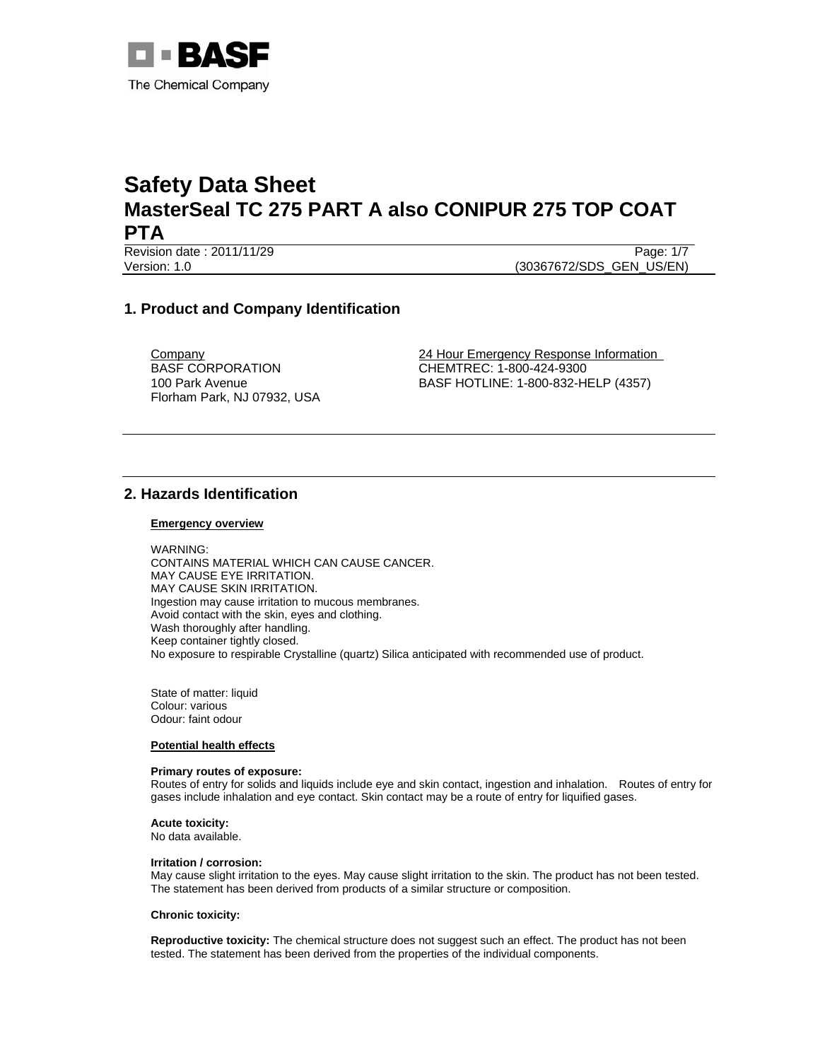

Revision date : 2011/11/29 **Page: 1/7** Page: 1/7

Version: 1.0 (30367672/SDS\_GEN\_US/EN)

# **1. Product and Company Identification**

BASF CORPORATION 100 Park Avenue Florham Park, NJ 07932, USA

**Company 24 Hour Emergency Response Information** CHEMTREC: 1-800-424-9300 BASF HOTLINE: 1-800-832-HELP (4357)

# **2. Hazards Identification**

### **Emergency overview**

WARNING: CONTAINS MATERIAL WHICH CAN CAUSE CANCER. MAY CAUSE EYE IRRITATION. MAY CAUSE SKIN IRRITATION. Ingestion may cause irritation to mucous membranes. Avoid contact with the skin, eyes and clothing. Wash thoroughly after handling. Keep container tightly closed. No exposure to respirable Crystalline (quartz) Silica anticipated with recommended use of product.

State of matter: liquid Colour: various Odour: faint odour

### **Potential health effects**

## **Primary routes of exposure:**

Routes of entry for solids and liquids include eye and skin contact, ingestion and inhalation. Routes of entry for gases include inhalation and eye contact. Skin contact may be a route of entry for liquified gases.

**Acute toxicity:**

No data available.

#### **Irritation / corrosion:**

May cause slight irritation to the eyes. May cause slight irritation to the skin. The product has not been tested. The statement has been derived from products of a similar structure or composition.

### **Chronic toxicity:**

**Reproductive toxicity:** The chemical structure does not suggest such an effect. The product has not been tested. The statement has been derived from the properties of the individual components.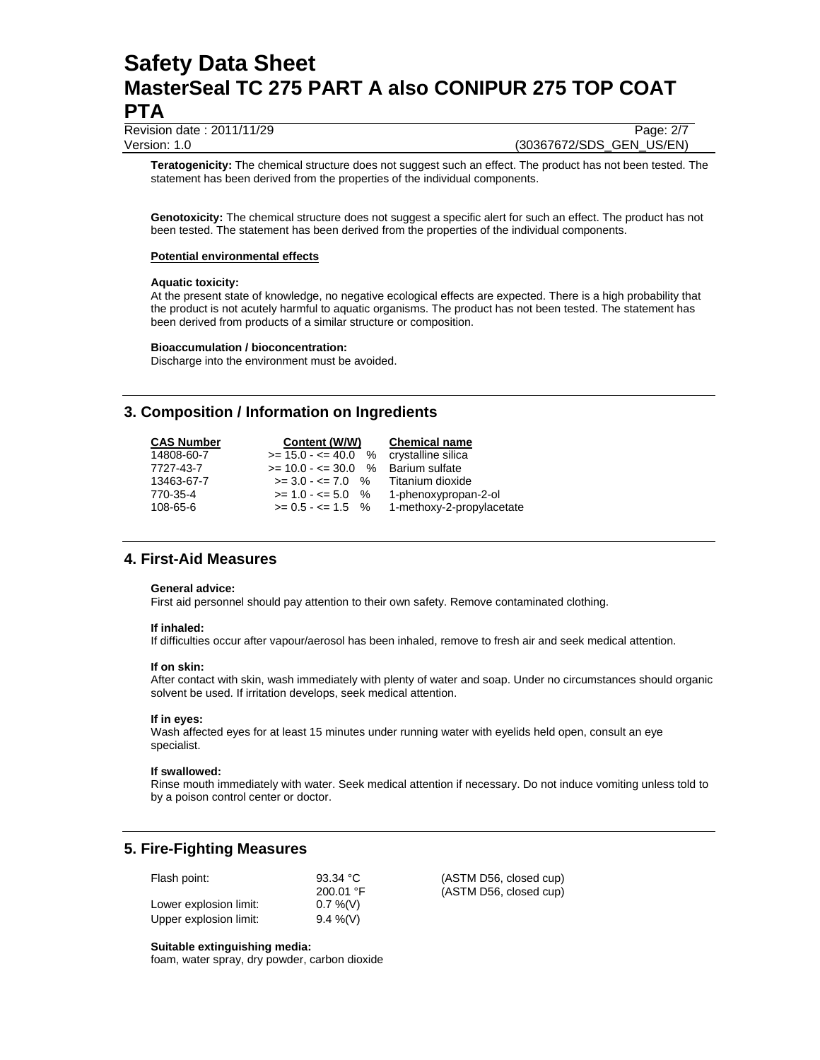Revision date : 2011/11/29 Page: 2/7 Version: 1.0 (30367672/SDS\_GEN\_US/EN)

**Teratogenicity:** The chemical structure does not suggest such an effect. The product has not been tested. The statement has been derived from the properties of the individual components.

**Genotoxicity:** The chemical structure does not suggest a specific alert for such an effect. The product has not been tested. The statement has been derived from the properties of the individual components.

### **Potential environmental effects**

### **Aquatic toxicity:**

At the present state of knowledge, no negative ecological effects are expected. There is a high probability that the product is not acutely harmful to aquatic organisms. The product has not been tested. The statement has been derived from products of a similar structure or composition.

### **Bioaccumulation / bioconcentration:**

Discharge into the environment must be avoided.

# **3. Composition / Information on Ingredients**

| <b>CAS Number</b> | Content (W/W)                         | <b>Chemical name</b>      |
|-------------------|---------------------------------------|---------------------------|
| 14808-60-7        | $>= 15.0 - 40.0$ % crystalline silica |                           |
| 7727-43-7         | $>= 10.0 - \le 30.0$ %                | Barium sulfate            |
| 13463-67-7        | $>= 3.0 - 5 = 7.0$ %                  | Titanium dioxide          |
| 770-35-4          | $>= 1.0 - 5.0$ %                      | 1-phenoxypropan-2-ol      |
| 108-65-6          | $>= 0.5 - \le 1.5$ %                  | 1-methoxy-2-propylacetate |

## **4. First-Aid Measures**

### **General advice:**

First aid personnel should pay attention to their own safety. Remove contaminated clothing.

### **If inhaled:**

If difficulties occur after vapour/aerosol has been inhaled, remove to fresh air and seek medical attention.

### **If on skin:**

After contact with skin, wash immediately with plenty of water and soap. Under no circumstances should organic solvent be used. If irritation develops, seek medical attention.

### **If in eyes:**

Wash affected eyes for at least 15 minutes under running water with eyelids held open, consult an eye specialist.

### **If swallowed:**

Rinse mouth immediately with water. Seek medical attention if necessary. Do not induce vomiting unless told to by a poison control center or doctor.

# **5. Fire-Fighting Measures**

| Flash point:           | 93.34 °C    |
|------------------------|-------------|
|                        | 200.01 °F   |
| Lower explosion limit: | $0.7\%$ (V) |
| Upper explosion limit: | $9.4\%$ (V) |

(ASTM D56, closed cup) (ASTM D56, closed cup)

### **Suitable extinguishing media:**

foam, water spray, dry powder, carbon dioxide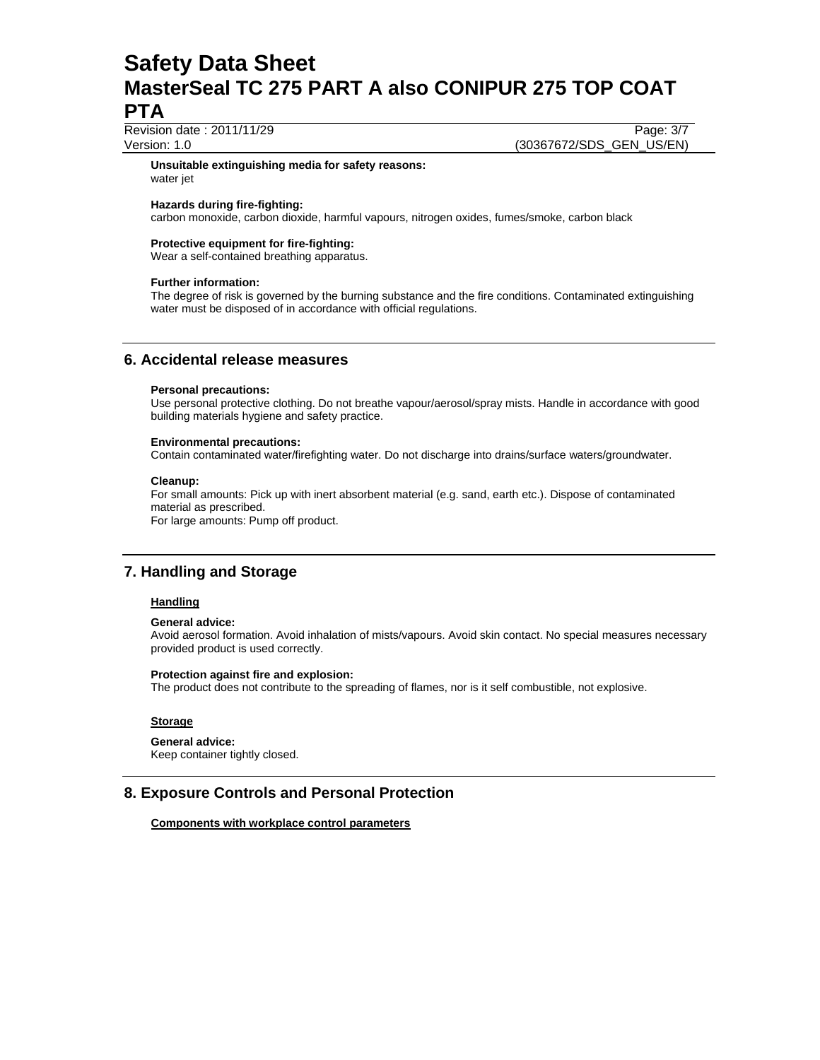Revision date : 2011/11/29 Page: 3/7

Version: 1.0 (30367672/SDS\_GEN\_US/EN)

#### **Unsuitable extinguishing media for safety reasons:**  water jet

### **Hazards during fire-fighting:**

carbon monoxide, carbon dioxide, harmful vapours, nitrogen oxides, fumes/smoke, carbon black

## **Protective equipment for fire-fighting:**

Wear a self-contained breathing apparatus.

#### **Further information:**

The degree of risk is governed by the burning substance and the fire conditions. Contaminated extinguishing water must be disposed of in accordance with official regulations.

## **6. Accidental release measures**

#### **Personal precautions:**

Use personal protective clothing. Do not breathe vapour/aerosol/spray mists. Handle in accordance with good building materials hygiene and safety practice.

#### **Environmental precautions:**

Contain contaminated water/firefighting water. Do not discharge into drains/surface waters/groundwater.

#### **Cleanup:**

For small amounts: Pick up with inert absorbent material (e.g. sand, earth etc.). Dispose of contaminated material as prescribed. For large amounts: Pump off product.

# **7. Handling and Storage**

## **Handling**

#### **General advice:**

Avoid aerosol formation. Avoid inhalation of mists/vapours. Avoid skin contact. No special measures necessary provided product is used correctly.

#### **Protection against fire and explosion:**

The product does not contribute to the spreading of flames, nor is it self combustible, not explosive.

### **Storage**

#### **General advice:**

Keep container tightly closed.

## **8. Exposure Controls and Personal Protection**

**Components with workplace control parameters**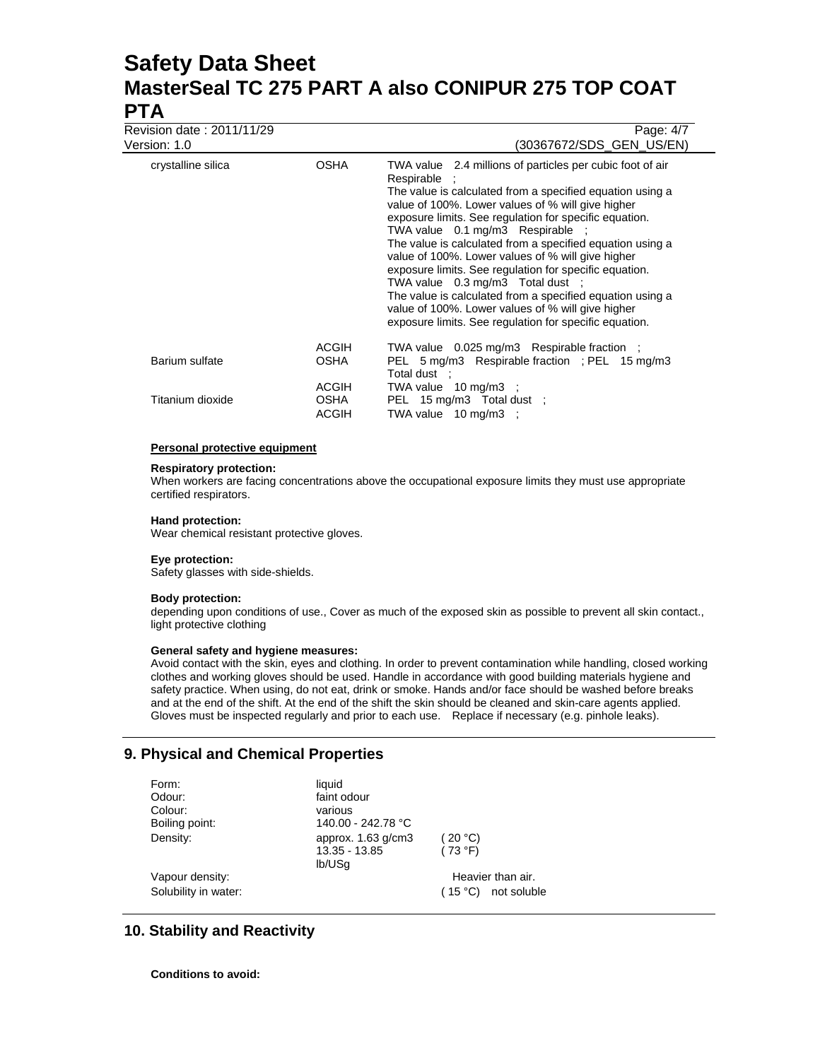Revision date : 2011/11/29 Page: 4/7

| $R$ is a considerable of $L$ . $L$ is a considerable $L$<br>Version: 1.0 |                               | гау <del>с</del> . <i>4</i> /7<br>(30367672/SDS GEN US/EN)                                                                                                                                                                                                                                                                                                                                                                                                                                                                                                                                                                                                                            |
|--------------------------------------------------------------------------|-------------------------------|---------------------------------------------------------------------------------------------------------------------------------------------------------------------------------------------------------------------------------------------------------------------------------------------------------------------------------------------------------------------------------------------------------------------------------------------------------------------------------------------------------------------------------------------------------------------------------------------------------------------------------------------------------------------------------------|
| crystalline silica                                                       | <b>OSHA</b>                   | TWA value 2.4 millions of particles per cubic foot of air<br>Respirable :<br>The value is calculated from a specified equation using a<br>value of 100%. Lower values of % will give higher<br>exposure limits. See regulation for specific equation.<br>TWA value 0.1 mg/m3 Respirable ;<br>The value is calculated from a specified equation using a<br>value of 100%. Lower values of % will give higher<br>exposure limits. See regulation for specific equation.<br>TWA value 0.3 mg/m3 Total dust :<br>The value is calculated from a specified equation using a<br>value of 100%. Lower values of % will give higher<br>exposure limits. See regulation for specific equation. |
| Barium sulfate                                                           | <b>ACGIH</b><br><b>OSHA</b>   | TWA value 0.025 mg/m3 Respirable fraction ;<br>PEL 5 mg/m3 Respirable fraction : PEL 15 mg/m3<br>Total dust ;                                                                                                                                                                                                                                                                                                                                                                                                                                                                                                                                                                         |
| Titanium dioxide                                                         | ACGIH<br>OSHA<br><b>ACGIH</b> | TWA value 10 mg/m3 ;<br>PEL 15 mg/m3 Total dust ;<br>TWA value $10 \text{ mg/m}3$ :                                                                                                                                                                                                                                                                                                                                                                                                                                                                                                                                                                                                   |
|                                                                          |                               |                                                                                                                                                                                                                                                                                                                                                                                                                                                                                                                                                                                                                                                                                       |

### **Personal protective equipment**

#### **Respiratory protection:**

When workers are facing concentrations above the occupational exposure limits they must use appropriate certified respirators.

#### **Hand protection:**

Wear chemical resistant protective gloves.

## **Eye protection:**

Safety glasses with side-shields.

### **Body protection:**

depending upon conditions of use., Cover as much of the exposed skin as possible to prevent all skin contact., light protective clothing

### **General safety and hygiene measures:**

Avoid contact with the skin, eyes and clothing. In order to prevent contamination while handling, closed working clothes and working gloves should be used. Handle in accordance with good building materials hygiene and safety practice. When using, do not eat, drink or smoke. Hands and/or face should be washed before breaks and at the end of the shift. At the end of the shift the skin should be cleaned and skin-care agents applied. Gloves must be inspected regularly and prior to each use. Replace if necessary (e.g. pinhole leaks).

# **9. Physical and Chemical Properties**

| Form:                | liquid               |                        |
|----------------------|----------------------|------------------------|
| Odour:               | faint odour          |                        |
| Colour:              | various              |                        |
| Boiling point:       | 140.00 - 242.78 °C   |                        |
| Density:             | approx. $1.63$ g/cm3 | (20 °C)                |
|                      | 13.35 - 13.85        | (73 °F)                |
|                      | lb/USq               |                        |
| Vapour density:      |                      | Heavier than air.      |
| Solubility in water: |                      | not soluble<br>(15 °C) |

# **10. Stability and Reactivity**

**Conditions to avoid:**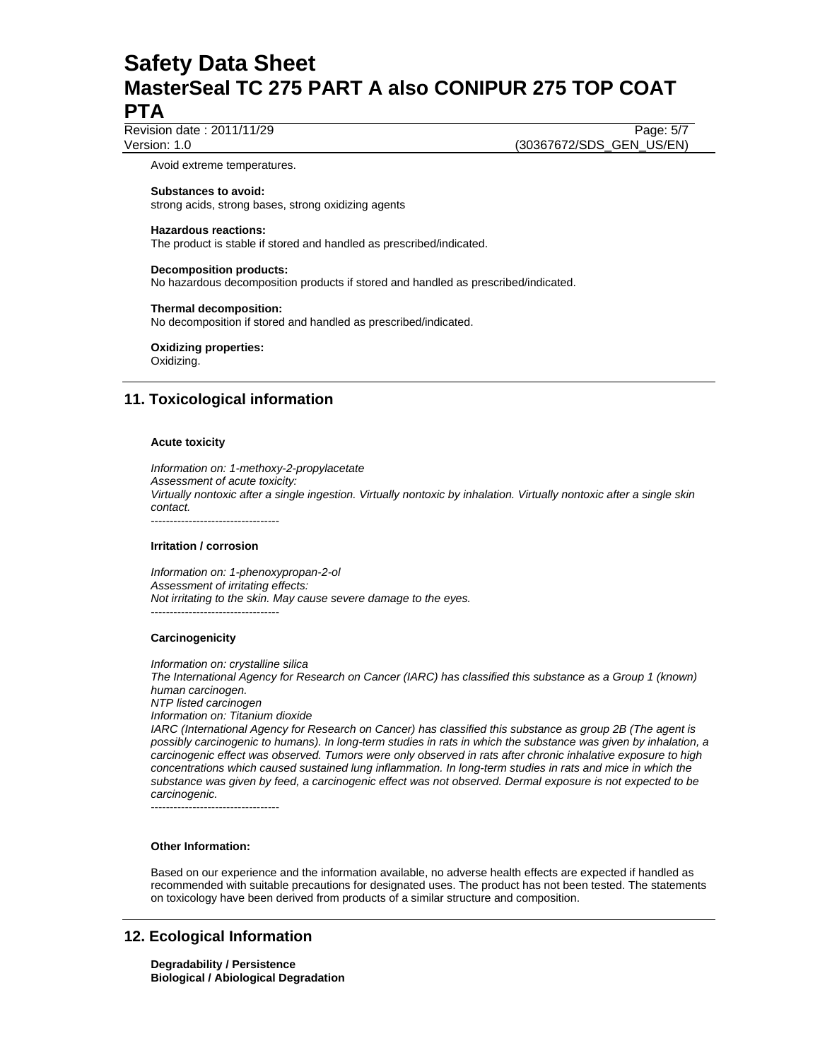Revision date : 2011/11/29 Page: 5/7 Version: 1.0 (30367672/SDS\_GEN\_US/EN)

Avoid extreme temperatures.

## **Substances to avoid:**

strong acids, strong bases, strong oxidizing agents

### **Hazardous reactions:**

The product is stable if stored and handled as prescribed/indicated.

### **Decomposition products:**

No hazardous decomposition products if stored and handled as prescribed/indicated.

#### **Thermal decomposition:**

No decomposition if stored and handled as prescribed/indicated.

## **Oxidizing properties:**

Oxidizing.

# **11. Toxicological information**

### **Acute toxicity**

*Information on: 1-methoxy-2-propylacetate Assessment of acute toxicity: Virtually nontoxic after a single ingestion. Virtually nontoxic by inhalation. Virtually nontoxic after a single skin contact.*  ----------------------------------

## **Irritation / corrosion**

*Information on: 1-phenoxypropan-2-ol Assessment of irritating effects: Not irritating to the skin. May cause severe damage to the eyes.*  ----------------------------------

### **Carcinogenicity**

*Information on: crystalline silica* 

*The International Agency for Research on Cancer (IARC) has classified this substance as a Group 1 (known) human carcinogen.* 

*NTP listed carcinogen* 

*Information on: Titanium dioxide* 

*IARC (International Agency for Research on Cancer) has classified this substance as group 2B (The agent is possibly carcinogenic to humans). In long-term studies in rats in which the substance was given by inhalation, a carcinogenic effect was observed. Tumors were only observed in rats after chronic inhalative exposure to high concentrations which caused sustained lung inflammation. In long-term studies in rats and mice in which the substance was given by feed, a carcinogenic effect was not observed. Dermal exposure is not expected to be carcinogenic.* 

----------------------------------

## **Other Information:**

Based on our experience and the information available, no adverse health effects are expected if handled as recommended with suitable precautions for designated uses. The product has not been tested. The statements on toxicology have been derived from products of a similar structure and composition.

# **12. Ecological Information**

**Degradability / Persistence Biological / Abiological Degradation**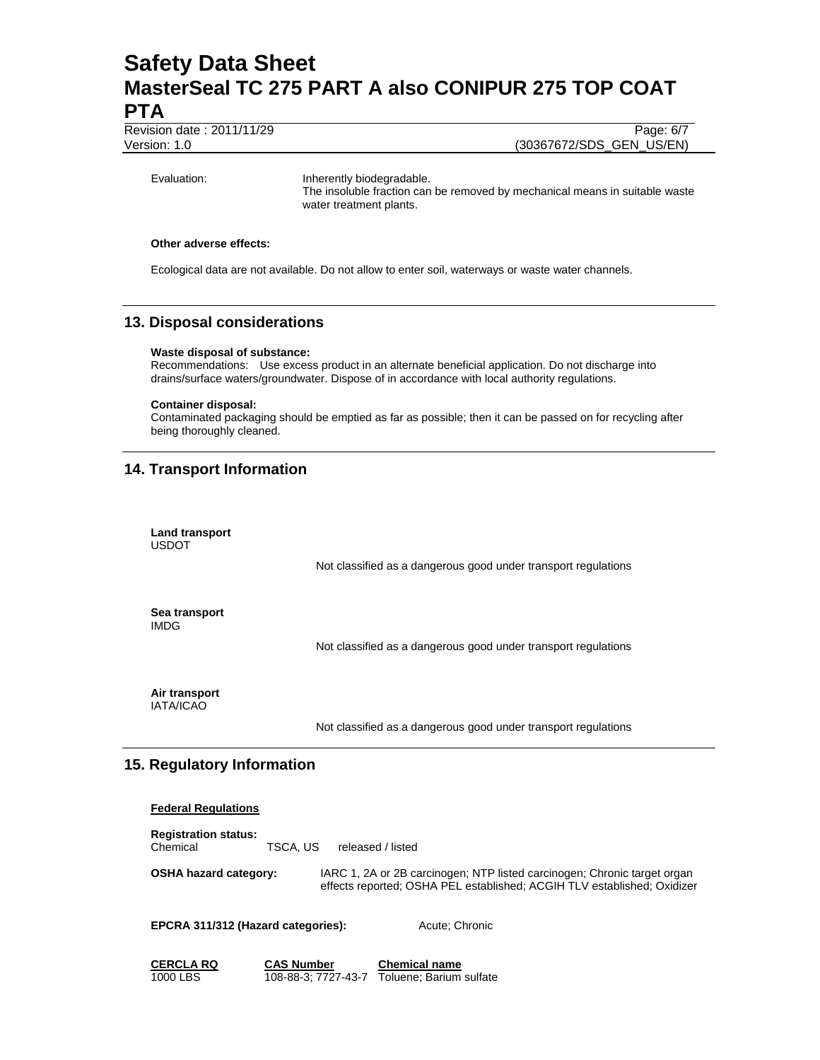Revision date : 2011/11/29 Page: 6/7

Version: 1.0 (30367672/SDS\_GEN\_US/EN)

Evaluation: Inherently biodegradable. The insoluble fraction can be removed by mechanical means in suitable waste water treatment plants.

#### **Other adverse effects:**

Ecological data are not available. Do not allow to enter soil, waterways or waste water channels.

# **13. Disposal considerations**

## **Waste disposal of substance:**

Recommendations: Use excess product in an alternate beneficial application. Do not discharge into drains/surface waters/groundwater. Dispose of in accordance with local authority regulations.

#### **Container disposal:**

Contaminated packaging should be emptied as far as possible; then it can be passed on for recycling after being thoroughly cleaned.

# **14. Transport Information**

| Land transport<br><b>USDOT</b> |                                                                |
|--------------------------------|----------------------------------------------------------------|
|                                | Not classified as a dangerous good under transport regulations |
| Sea transport<br><b>IMDG</b>   |                                                                |
|                                | Not classified as a dangerous good under transport regulations |
| Air transport<br>IATA/ICAO     |                                                                |

Not classified as a dangerous good under transport regulations

## **15. Regulatory Information**

| <b>Federal Regulations</b>              |                                          |                                                                                                                                                     |
|-----------------------------------------|------------------------------------------|-----------------------------------------------------------------------------------------------------------------------------------------------------|
| <b>Registration status:</b><br>Chemical | TSCA. US                                 | released / listed                                                                                                                                   |
| <b>OSHA hazard category:</b>            |                                          | IARC 1, 2A or 2B carcinogen; NTP listed carcinogen; Chronic target organ<br>effects reported; OSHA PEL established; ACGIH TLV established; Oxidizer |
| EPCRA 311/312 (Hazard categories):      |                                          | Acute: Chronic                                                                                                                                      |
| <b>CERCLA RQ</b><br>1000 LBS            | <b>CAS Number</b><br>108-88-3: 7727-43-7 | <b>Chemical name</b><br>Toluene: Barium sulfate                                                                                                     |